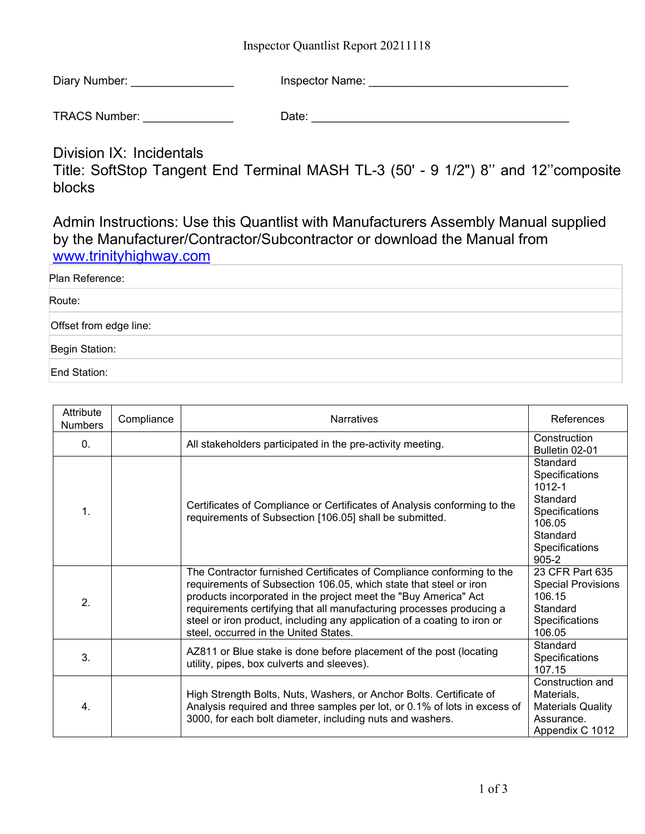Inspector Quantlist Report 20211118

| Diary Number: | Inspector Name: |  |
|---------------|-----------------|--|
|               |                 |  |

TRACS Number: \_\_\_\_\_\_\_\_\_\_\_\_\_\_ Date: \_\_\_\_\_\_\_\_\_\_\_\_\_\_\_\_\_\_\_\_\_\_\_\_\_\_\_\_\_\_\_\_\_\_\_\_\_\_\_\_

Division IX: Incidentals

Title: SoftStop Tangent End Terminal MASH TL-3 (50' - 9 1/2") 8'' and 12''composite blocks

Admin Instructions: Use this Quantlist with Manufacturers Assembly Manual supplied by the Manufacturer/Contractor/Subcontractor or download the Manual from [www.trinityhighway.com](http://www.trinityhighway.com/)

| Plan Reference:        |  |
|------------------------|--|
| Route:                 |  |
| Offset from edge line: |  |
| Begin Station:         |  |
| End Station:           |  |

| Attribute<br><b>Numbers</b> | Compliance | <b>Narratives</b>                                                                                                                                                                                                                                                                                                                                                                                          | References                                                                                                                  |
|-----------------------------|------------|------------------------------------------------------------------------------------------------------------------------------------------------------------------------------------------------------------------------------------------------------------------------------------------------------------------------------------------------------------------------------------------------------------|-----------------------------------------------------------------------------------------------------------------------------|
| 0.                          |            | All stakeholders participated in the pre-activity meeting.                                                                                                                                                                                                                                                                                                                                                 | Construction<br>Bulletin 02-01                                                                                              |
| 1.                          |            | Certificates of Compliance or Certificates of Analysis conforming to the<br>requirements of Subsection [106.05] shall be submitted.                                                                                                                                                                                                                                                                        | Standard<br>Specifications<br>$1012 - 1$<br>Standard<br>Specifications<br>106.05<br>Standard<br>Specifications<br>$905 - 2$ |
| 2.                          |            | The Contractor furnished Certificates of Compliance conforming to the<br>requirements of Subsection 106.05, which state that steel or iron<br>products incorporated in the project meet the "Buy America" Act<br>requirements certifying that all manufacturing processes producing a<br>steel or iron product, including any application of a coating to iron or<br>steel, occurred in the United States. | 23 CFR Part 635<br><b>Special Provisions</b><br>106.15<br>Standard<br>Specifications<br>106.05                              |
| 3.                          |            | AZ811 or Blue stake is done before placement of the post (locating<br>utility, pipes, box culverts and sleeves).                                                                                                                                                                                                                                                                                           | Standard<br>Specifications<br>107.15                                                                                        |
| 4.                          |            | High Strength Bolts, Nuts, Washers, or Anchor Bolts. Certificate of<br>Analysis required and three samples per lot, or 0.1% of lots in excess of<br>3000, for each bolt diameter, including nuts and washers.                                                                                                                                                                                              | Construction and<br>Materials,<br><b>Materials Quality</b><br>Assurance.<br>Appendix C 1012                                 |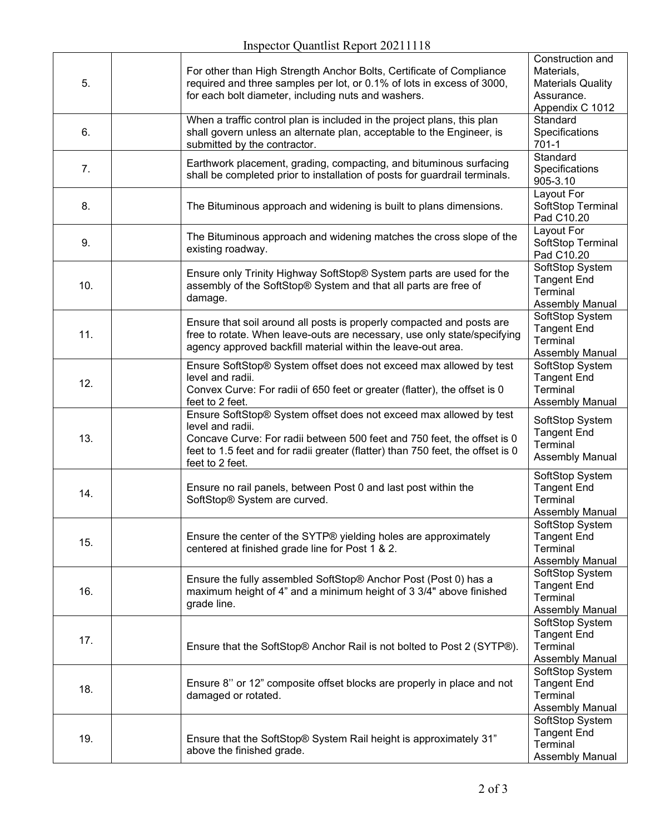| 5.  | For other than High Strength Anchor Bolts, Certificate of Compliance<br>required and three samples per lot, or 0.1% of lots in excess of 3000,<br>for each bolt diameter, including nuts and washers.                                                                   | Construction and<br>Materials,<br><b>Materials Quality</b><br>Assurance.<br>Appendix C 1012 |
|-----|-------------------------------------------------------------------------------------------------------------------------------------------------------------------------------------------------------------------------------------------------------------------------|---------------------------------------------------------------------------------------------|
| 6.  | When a traffic control plan is included in the project plans, this plan<br>shall govern unless an alternate plan, acceptable to the Engineer, is<br>submitted by the contractor.                                                                                        | Standard<br>Specifications<br>$701-1$                                                       |
| 7.  | Earthwork placement, grading, compacting, and bituminous surfacing<br>shall be completed prior to installation of posts for guardrail terminals.                                                                                                                        | Standard<br>Specifications<br>905-3.10                                                      |
| 8.  | The Bituminous approach and widening is built to plans dimensions.                                                                                                                                                                                                      | Layout For<br>SoftStop Terminal<br>Pad C10.20                                               |
| 9.  | The Bituminous approach and widening matches the cross slope of the<br>existing roadway.                                                                                                                                                                                | Layout For<br>SoftStop Terminal<br>Pad C10.20                                               |
| 10. | Ensure only Trinity Highway SoftStop® System parts are used for the<br>assembly of the SoftStop® System and that all parts are free of<br>damage.                                                                                                                       | SoftStop System<br><b>Tangent End</b><br>Terminal<br>Assembly Manual                        |
| 11. | Ensure that soil around all posts is properly compacted and posts are<br>free to rotate. When leave-outs are necessary, use only state/specifying<br>agency approved backfill material within the leave-out area.                                                       | SoftStop System<br><b>Tangent End</b><br>Terminal<br><b>Assembly Manual</b>                 |
| 12. | Ensure SoftStop® System offset does not exceed max allowed by test<br>level and radii.<br>Convex Curve: For radii of 650 feet or greater (flatter), the offset is 0<br>feet to 2 feet.                                                                                  | SoftStop System<br><b>Tangent End</b><br>Terminal<br>Assembly Manual                        |
| 13. | Ensure SoftStop® System offset does not exceed max allowed by test<br>level and radii.<br>Concave Curve: For radii between 500 feet and 750 feet, the offset is 0<br>feet to 1.5 feet and for radii greater (flatter) than 750 feet, the offset is 0<br>feet to 2 feet. | SoftStop System<br><b>Tangent End</b><br>Terminal<br><b>Assembly Manual</b>                 |
| 14. | Ensure no rail panels, between Post 0 and last post within the<br>SoftStop® System are curved.                                                                                                                                                                          | SoftStop System<br><b>Tangent End</b><br>Terminal<br>Assembly Manual                        |
| 15. | Ensure the center of the SYTP® yielding holes are approximately<br>centered at finished grade line for Post 1 & 2.                                                                                                                                                      | SoftStop System<br><b>Tangent End</b><br><b>Terminal</b><br><b>Assembly Manual</b>          |
| 16. | Ensure the fully assembled SoftStop® Anchor Post (Post 0) has a<br>maximum height of 4" and a minimum height of 3 3/4" above finished<br>grade line.                                                                                                                    | SoftStop System<br><b>Tangent End</b><br>Terminal<br>Assembly Manual                        |
| 17. | Ensure that the SoftStop® Anchor Rail is not bolted to Post 2 (SYTP®).                                                                                                                                                                                                  | SoftStop System<br><b>Tangent End</b><br>Terminal<br><b>Assembly Manual</b>                 |
| 18. | Ensure 8" or 12" composite offset blocks are properly in place and not<br>damaged or rotated.                                                                                                                                                                           | SoftStop System<br><b>Tangent End</b><br>Terminal<br><b>Assembly Manual</b>                 |
| 19. | Ensure that the SoftStop® System Rail height is approximately 31"<br>above the finished grade.                                                                                                                                                                          | SoftStop System<br><b>Tangent End</b><br><b>Terminal</b><br><b>Assembly Manual</b>          |